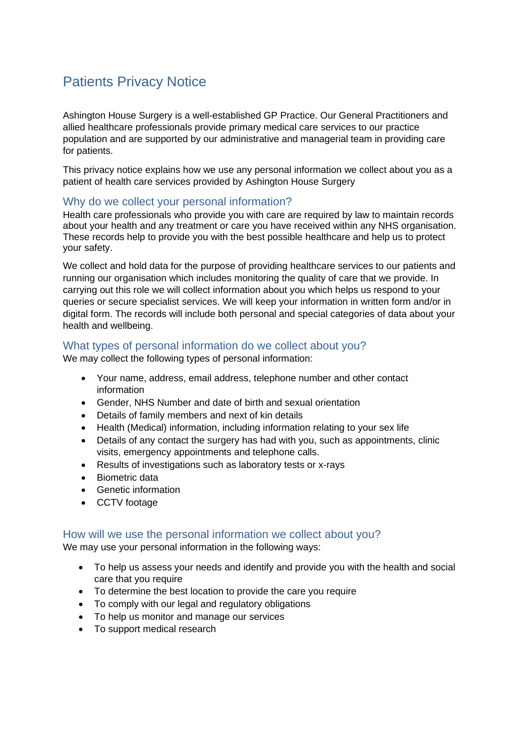# Patients Privacy Notice

Ashington House Surgery is a well-established GP Practice. Our General Practitioners and allied healthcare professionals provide primary medical care services to our practice population and are supported by our administrative and managerial team in providing care for patients.

This privacy notice explains how we use any personal information we collect about you as a patient of health care services provided by Ashington House Surgery

# Why do we collect your personal information?

Health care professionals who provide you with care are required by law to maintain records about your health and any treatment or care you have received within any NHS organisation. These records help to provide you with the best possible healthcare and help us to protect your safety.

We collect and hold data for the purpose of providing healthcare services to our patients and running our organisation which includes monitoring the quality of care that we provide. In carrying out this role we will collect information about you which helps us respond to your queries or secure specialist services. We will keep your information in written form and/or in digital form. The records will include both personal and special categories of data about your health and wellbeing.

## What types of personal information do we collect about you?

We may collect the following types of personal information:

- Your name, address, email address, telephone number and other contact information
- Gender, NHS Number and date of birth and sexual orientation
- Details of family members and next of kin details
- Health (Medical) information, including information relating to your sex life
- Details of any contact the surgery has had with you, such as appointments, clinic visits, emergency appointments and telephone calls.
- Results of investigations such as laboratory tests or x-rays
- Biometric data
- Genetic information
- CCTV footage

## How will we use the personal information we collect about you?

We may use your personal information in the following ways:

- To help us assess your needs and identify and provide you with the health and social care that you require
- To determine the best location to provide the care you require
- To comply with our legal and regulatory obligations
- To help us monitor and manage our services
- To support medical research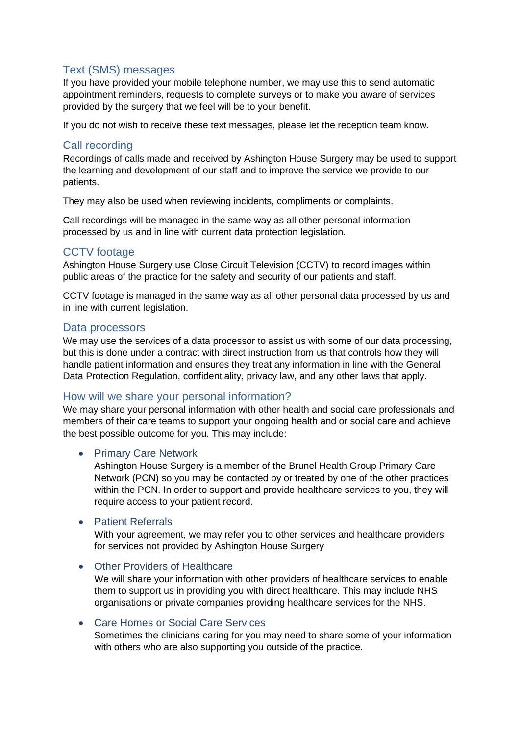# Text (SMS) messages

If you have provided your mobile telephone number, we may use this to send automatic appointment reminders, requests to complete surveys or to make you aware of services provided by the surgery that we feel will be to your benefit.

If you do not wish to receive these text messages, please let the reception team know.

# Call recording

Recordings of calls made and received by Ashington House Surgery may be used to support the learning and development of our staff and to improve the service we provide to our patients.

They may also be used when reviewing incidents, compliments or complaints.

Call recordings will be managed in the same way as all other personal information processed by us and in line with current data protection legislation.

# CCTV footage

Ashington House Surgery use Close Circuit Television (CCTV) to record images within public areas of the practice for the safety and security of our patients and staff.

CCTV footage is managed in the same way as all other personal data processed by us and in line with current legislation.

# Data processors

We may use the services of a data processor to assist us with some of our data processing, but this is done under a contract with direct instruction from us that controls how they will handle patient information and ensures they treat any information in line with the General Data Protection Regulation, confidentiality, privacy law, and any other laws that apply.

# How will we share your personal information?

We may share your personal information with other health and social care professionals and members of their care teams to support your ongoing health and or social care and achieve the best possible outcome for you. This may include:

## • Primary Care Network

Ashington House Surgery is a member of the Brunel Health Group Primary Care Network (PCN) so you may be contacted by or treated by one of the other practices within the PCN. In order to support and provide healthcare services to you, they will require access to your patient record.

## • Patient Referrals

With your agreement, we may refer you to other services and healthcare providers for services not provided by Ashington House Surgery

#### • Other Providers of Healthcare

We will share your information with other providers of healthcare services to enable them to support us in providing you with direct healthcare. This may include NHS organisations or private companies providing healthcare services for the NHS.

#### • Care Homes or Social Care Services

Sometimes the clinicians caring for you may need to share some of your information with others who are also supporting you outside of the practice.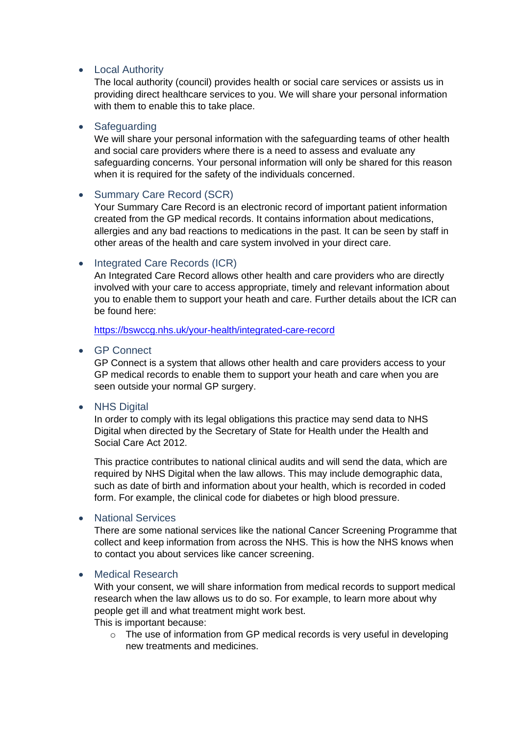## • Local Authority

The local authority (council) provides health or social care services or assists us in providing direct healthcare services to you. We will share your personal information with them to enable this to take place.

#### • Safeguarding

We will share your personal information with the safeguarding teams of other health and social care providers where there is a need to assess and evaluate any safeguarding concerns. Your personal information will only be shared for this reason when it is required for the safety of the individuals concerned.

## • Summary Care Record (SCR)

Your Summary Care Record is an electronic record of important patient information created from the GP medical records. It contains information about medications, allergies and any bad reactions to medications in the past. It can be seen by staff in other areas of the health and care system involved in your direct care.

## • Integrated Care Records (ICR)

An Integrated Care Record allows other health and care providers who are directly involved with your care to access appropriate, timely and relevant information about you to enable them to support your heath and care. Further details about the ICR can be found here:

<https://bswccg.nhs.uk/your-health/integrated-care-record>

#### • GP Connect

GP Connect is a system that allows other health and care providers access to your GP medical records to enable them to support your heath and care when you are seen outside your normal GP surgery.

#### • NHS Digital

In order to comply with its legal obligations this practice may send data to NHS Digital when directed by the Secretary of State for Health under the Health and Social Care Act 2012.

This practice contributes to national clinical audits and will send the data, which are required by NHS Digital when the law allows. This may include demographic data, such as date of birth and information about your health, which is recorded in coded form. For example, the clinical code for diabetes or high blood pressure.

#### • National Services

There are some national services like the national Cancer Screening Programme that collect and keep information from across the NHS. This is how the NHS knows when to contact you about services like cancer screening.

#### • Medical Research

With your consent, we will share information from medical records to support medical research when the law allows us to do so. For example, to learn more about why people get ill and what treatment might work best. This is important because:

o The use of information from GP medical records is very useful in developing new treatments and medicines.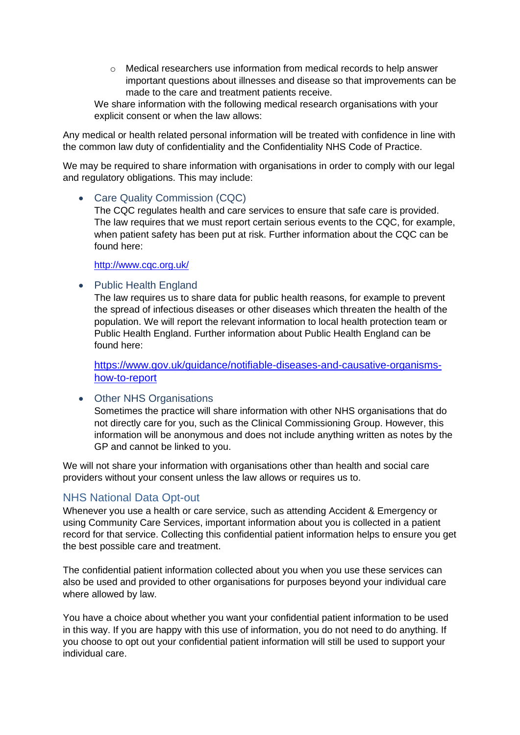$\circ$  Medical researchers use information from medical records to help answer important questions about illnesses and disease so that improvements can be made to the care and treatment patients receive.

We share information with the following medical research organisations with your explicit consent or when the law allows:

Any medical or health related personal information will be treated with confidence in line with the common law duty of confidentiality and the Confidentiality NHS Code of Practice.

We may be required to share information with organisations in order to comply with our legal and regulatory obligations. This may include:

#### • Care Quality Commission (CQC)

The CQC regulates health and care services to ensure that safe care is provided. The law requires that we must report certain serious events to the CQC, for example, when patient safety has been put at risk. Further information about the CQC can be found here:

<http://www.cqc.org.uk/>

#### • Public Health England

The law requires us to share data for public health reasons, for example to prevent the spread of infectious diseases or other diseases which threaten the health of the population. We will report the relevant information to local health protection team or Public Health England. Further information about Public Health England can be found here:

[https://www.gov.uk/guidance/notifiable-diseases-and-causative-organisms](https://www.gov.uk/guidance/notifiable-diseases-and-causative-organisms-how-to-report)[how-to-report](https://www.gov.uk/guidance/notifiable-diseases-and-causative-organisms-how-to-report)

#### • Other NHS Organisations

Sometimes the practice will share information with other NHS organisations that do not directly care for you, such as the Clinical Commissioning Group. However, this information will be anonymous and does not include anything written as notes by the GP and cannot be linked to you.

We will not share your information with organisations other than health and social care providers without your consent unless the law allows or requires us to.

# NHS National Data Opt-out

Whenever you use a health or care service, such as attending Accident & Emergency or using Community Care Services, important information about you is collected in a patient record for that service. Collecting this confidential patient information helps to ensure you get the best possible care and treatment.

The confidential patient information collected about you when you use these services can also be used and provided to other organisations for purposes beyond your individual care where allowed by law.

You have a choice about whether you want your confidential patient information to be used in this way. If you are happy with this use of information, you do not need to do anything. If you choose to opt out your confidential patient information will still be used to support your individual care.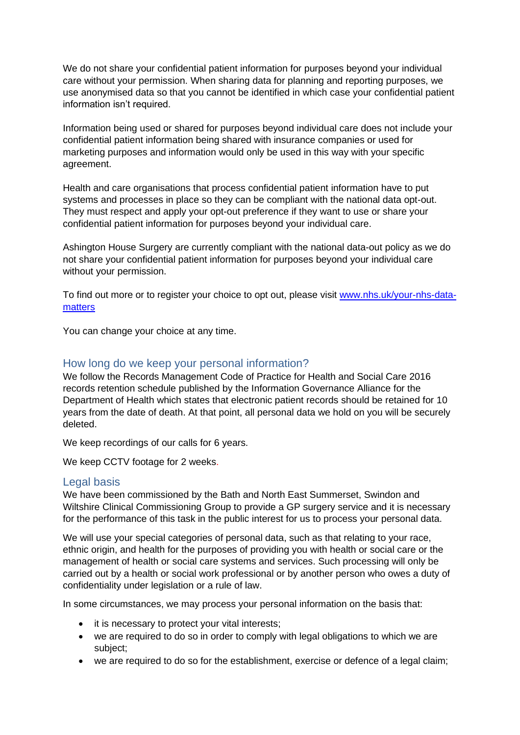We do not share your confidential patient information for purposes beyond your individual care without your permission. When sharing data for planning and reporting purposes, we use anonymised data so that you cannot be identified in which case your confidential patient information isn't required.

Information being used or shared for purposes beyond individual care does not include your confidential patient information being shared with insurance companies or used for marketing purposes and information would only be used in this way with your specific agreement.

Health and care organisations that process confidential patient information have to put systems and processes in place so they can be compliant with the national data opt-out. They must respect and apply your opt-out preference if they want to use or share your confidential patient information for purposes beyond your individual care.

Ashington House Surgery are currently compliant with the national data-out policy as we do not share your confidential patient information for purposes beyond your individual care without your permission.

To find out more or to register your choice to opt out, please visit [www.nhs.uk/your-nhs-data](http://www.nhs.uk/your-nhs-data-matters)[matters](http://www.nhs.uk/your-nhs-data-matters)

You can change your choice at any time.

## How long do we keep your personal information?

We follow the Records Management Code of Practice for Health and Social Care 2016 records retention schedule published by the Information Governance Alliance for the Department of Health which states that electronic patient records should be retained for 10 years from the date of death. At that point, all personal data we hold on you will be securely deleted.

We keep recordings of our calls for 6 years.

We keep CCTV footage for 2 weeks.

#### Legal basis

We have been commissioned by the Bath and North East Summerset, Swindon and Wiltshire Clinical Commissioning Group to provide a GP surgery service and it is necessary for the performance of this task in the public interest for us to process your personal data.

We will use your special categories of personal data, such as that relating to your race, ethnic origin, and health for the purposes of providing you with health or social care or the management of health or social care systems and services. Such processing will only be carried out by a health or social work professional or by another person who owes a duty of confidentiality under legislation or a rule of law.

In some circumstances, we may process your personal information on the basis that:

- it is necessary to protect your vital interests;
- we are required to do so in order to comply with legal obligations to which we are subject;
- we are required to do so for the establishment, exercise or defence of a legal claim;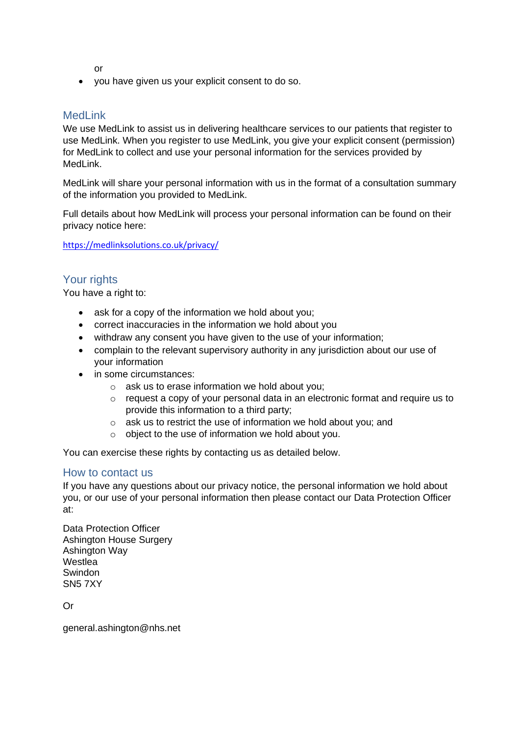or

• you have given us your explicit consent to do so.

# MedLink

We use MedLink to assist us in delivering healthcare services to our patients that register to use MedLink. When you register to use MedLink, you give your explicit consent (permission) for MedLink to collect and use your personal information for the services provided by MedLink.

MedLink will share your personal information with us in the format of a consultation summary of the information you provided to MedLink.

Full details about how MedLink will process your personal information can be found on their privacy notice here:

<https://medlinksolutions.co.uk/privacy/>

## Your rights

You have a right to:

- ask for a copy of the information we hold about you;
- correct inaccuracies in the information we hold about you
- withdraw any consent you have given to the use of your information;
- complain to the relevant supervisory authority in any jurisdiction about our use of your information
- in some circumstances:
	- o ask us to erase information we hold about you;
	- request a copy of your personal data in an electronic format and require us to provide this information to a third party;
	- o ask us to restrict the use of information we hold about you; and
	- o object to the use of information we hold about you.

You can exercise these rights by contacting us as detailed below.

#### How to contact us

If you have any questions about our privacy notice, the personal information we hold about you, or our use of your personal information then please contact our Data Protection Officer at:

Data Protection Officer Ashington House Surgery Ashington Way Westlea Swindon SN5 7XY

Or

general.ashington@nhs.net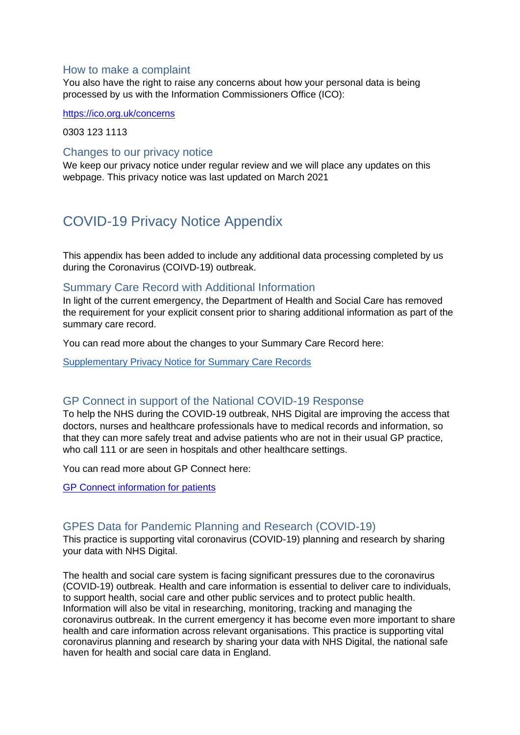## How to make a complaint

You also have the right to raise any concerns about how your personal data is being processed by us with the Information Commissioners Office (ICO):

<https://ico.org.uk/concerns>

0303 123 1113

#### Changes to our privacy notice

We keep our privacy notice under regular review and we will place any updates on this webpage. This privacy notice was last updated on March 2021

# COVID-19 Privacy Notice Appendix

This appendix has been added to include any additional data processing completed by us during the Coronavirus (COIVD-19) outbreak.

#### Summary Care Record with Additional Information

In light of the current emergency, the Department of Health and Social Care has removed the requirement for your explicit consent prior to sharing additional information as part of the summary care record.

You can read more about the changes to your Summary Care Record here:

[Supplementary Privacy Notice for Summary Care Records](https://digital.nhs.uk/services/summary-care-records-scr/scr-coronavirus-covid-19-supplementary-privacy-notice)

## GP Connect in support of the National COVID-19 Response

To help the NHS during the COVID-19 outbreak, NHS Digital are improving the access that doctors, nurses and healthcare professionals have to medical records and information, so that they can more safely treat and advise patients who are not in their usual GP practice, who call 111 or are seen in hospitals and other healthcare settings.

You can read more about GP Connect here:

[GP Connect information for patients](https://digital.nhs.uk/services/gp-connect/patients)

## GPES Data for Pandemic Planning and Research (COVID-19)

This practice is supporting vital coronavirus (COVID-19) planning and research by sharing your data with NHS Digital.

The health and social care system is facing significant pressures due to the coronavirus (COVID-19) outbreak. Health and care information is essential to deliver care to individuals, to support health, social care and other public services and to protect public health. Information will also be vital in researching, monitoring, tracking and managing the coronavirus outbreak. In the current emergency it has become even more important to share health and care information across relevant organisations. This practice is supporting vital coronavirus planning and research by sharing your data with NHS Digital, the national safe haven for health and social care data in England.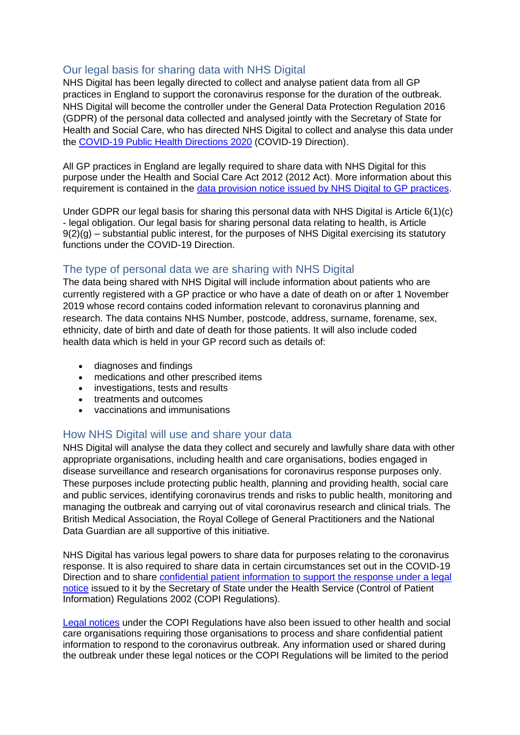# Our legal basis for sharing data with NHS Digital

NHS Digital has been legally directed to collect and analyse patient data from all GP practices in England to support the coronavirus response for the duration of the outbreak. NHS Digital will become the controller under the General Data Protection Regulation 2016 (GDPR) of the personal data collected and analysed jointly with the Secretary of State for Health and Social Care, who has directed NHS Digital to collect and analyse this data under the [COVID-19 Public Health Directions 2020](https://digital.nhs.uk/about-nhs-digital/corporate-information-and-documents/directions-and-data-provision-notices/secretary-of-state-directions/covid-19-public-health-directions-2020) (COVID-19 Direction).

All GP practices in England are legally required to share data with NHS Digital for this purpose under the Health and Social Care Act 2012 (2012 Act). More information about this requirement is contained in the [data provision notice issued by NHS Digital to GP practices.](https://digital.nhs.uk/about-nhs-digital/corporate-information-and-documents/directions-and-data-provision-notices/data-provision-notices-dpns/gpes-data-for-pandemic-planning-and-research)

Under GDPR our legal basis for sharing this personal data with NHS Digital is Article 6(1)(c) - legal obligation. Our legal basis for sharing personal data relating to health, is Article  $9(2)(g)$  – substantial public interest, for the purposes of NHS Digital exercising its statutory functions under the COVID-19 Direction.

# The type of personal data we are sharing with NHS Digital

The data being shared with NHS Digital will include information about patients who are currently registered with a GP practice or who have a date of death on or after 1 November 2019 whose record contains coded information relevant to coronavirus planning and research. The data contains NHS Number, postcode, address, surname, forename, sex, ethnicity, date of birth and date of death for those patients. It will also include coded health data which is held in your GP record such as details of:

- diagnoses and findings
- medications and other prescribed items
- investigations, tests and results
- treatments and outcomes
- vaccinations and immunisations

# How NHS Digital will use and share your data

NHS Digital will analyse the data they collect and securely and lawfully share data with other appropriate organisations, including health and care organisations, bodies engaged in disease surveillance and research organisations for coronavirus response purposes only. These purposes include protecting public health, planning and providing health, social care and public services, identifying coronavirus trends and risks to public health, monitoring and managing the outbreak and carrying out of vital coronavirus research and clinical trials. The British Medical Association, the Royal College of General Practitioners and the National Data Guardian are all supportive of this initiative.

NHS Digital has various legal powers to share data for purposes relating to the coronavirus response. It is also required to share data in certain circumstances set out in the COVID-19 Direction and to share [confidential patient information to support the response under a legal](https://digital.nhs.uk/coronavirus/coronavirus-covid-19-response-information-governance-hub/control-of-patient-information-copi-notice)  [notice](https://digital.nhs.uk/coronavirus/coronavirus-covid-19-response-information-governance-hub/control-of-patient-information-copi-notice) issued to it by the Secretary of State under the Health Service (Control of Patient Information) Regulations 2002 (COPI Regulations).

[Legal notices](https://www.gov.uk/government/publications/coronavirus-covid-19-notification-of-data-controllers-to-share-information) under the COPI Regulations have also been issued to other health and social care organisations requiring those organisations to process and share confidential patient information to respond to the coronavirus outbreak. Any information used or shared during the outbreak under these legal notices or the COPI Regulations will be limited to the period